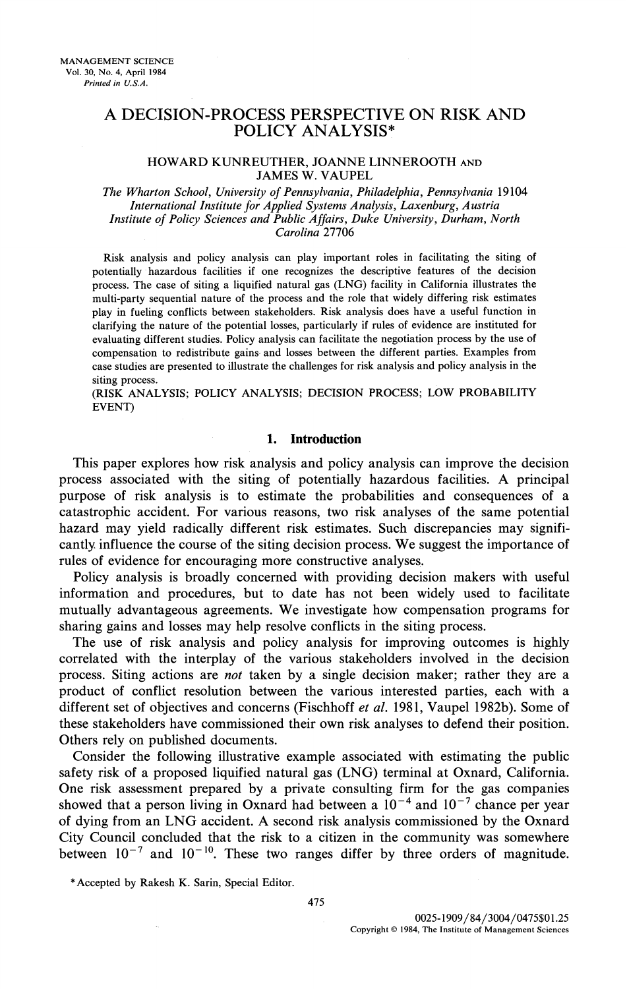# **A DECISION-PROCESS PERSPECTIVE ON RISK AND POLICY ANALYSIS\***

#### **HOWARD KUNREUTHER, JOANNE LINNEROOTH AND JAMES W. VAUPEL**

**The Wharton School, University of Pennsylvania, Philadelphia, Pennsylvania 19104 International Institute for Applied Systems Analysis, Laxenburg, Austria Institute of Policy Sciences and Public Affairs, Duke University, Durham, North Carolina 27706** 

**Risk analysis and policy analysis can play important roles in facilitating the siting of potentially hazardous facilities if one recognizes the descriptive features of the decision process. The case of siting a liquified natural gas (LNG) facility in California illustrates the multi-party sequential nature of the process and the role that widely differing risk estimates play in fueling conflicts between stakeholders. Risk analysis does have a useful function in clarifying the nature of the potential losses, particularly if rules of evidence are instituted for evaluating different studies. Policy analysis can facilitate the negotiation process by the use of compensation to redistribute gains- and losses between the different parties. Examples from case studies are presented to illustrate the challenges for risk analysis and policy analysis in the siting process.** 

**(RISK ANALYSIS; POLICY ANALYSIS; DECISION PROCESS; LOW PROBABILITY EVENT)** 

#### **1. Introduction**

**This paper explores how risk analysis and policy analysis can improve the decision process associated with the siting of potentially hazardous facilities. A principal purpose of risk analysis is to estimate the probabilities and consequences of a catastrophic accident. For various reasons, two risk analyses of the same potential hazard may yield radically different risk estimates. Such discrepancies may significantly influence the course of the siting decision process. We suggest the importance of rules of evidence for encouraging more constructive analyses.** 

**Policy analysis is broadly concerned with providing decision makers with useful information and procedures, but to date has not been widely used to facilitate mutually advantageous agreements. We investigate how compensation programs for sharing gains and losses may help resolve conflicts in the siting process.** 

**The use of risk analysis and policy analysis for improving outcomes is highly correlated with the interplay of the various stakeholders involved in the decision process. Siting actions are not taken by a single decision maker; rather they are a product of conflict resolution between the various interested parties, each with a**  different set of objectives and concerns (Fischhoff *et al.* 1981, Vaupel 1982b). Some of **these stakeholders have commissioned their own risk analyses to defend their position. Others rely on published documents.** 

**Consider the following illustrative example associated with estimating the public safety risk of a proposed liquified natural gas (LNG) terminal at Oxnard, California. One risk assessment prepared by a private consulting firm for the gas companies**  showed that a person living in Oxnard had between a  $10^{-4}$  and  $10^{-7}$  chance per year **of dying from an LNG accident. A second risk analysis commissioned by the Oxnard City Council concluded that the risk to a citizen in the community was somewhere**  between  $10^{-7}$  and  $10^{-10}$ . These two ranges differ by three orders of magnitude.

**\*Accepted by Rakesh K. Sarin, Special Editor.**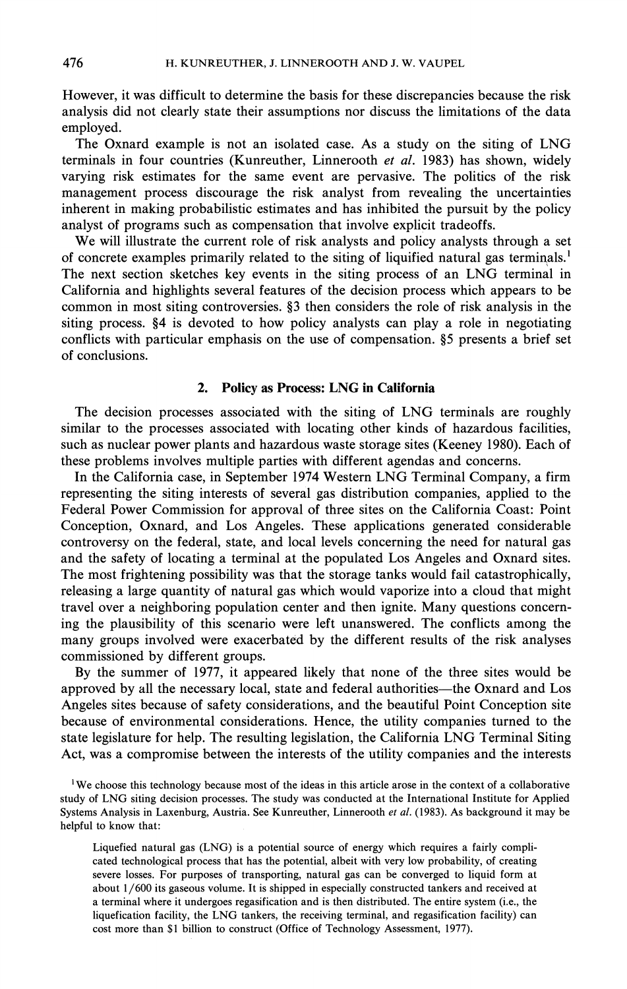**However, it was difficult to determine the basis for these discrepancies because the risk analysis did not clearly state their assumptions nor discuss the limitations of the data employed.** 

**The Oxnard example is not an isolated case. As a study on the siting of LNG terminals in four countries (Kunreuther, Linnerooth et al. 1983) has shown, widely varying risk estimates for the same event are pervasive. The politics of the risk management process discourage the risk analyst from revealing the uncertainties inherent in making probabilistic estimates and has inhibited the pursuit by the policy analyst of programs such as compensation that involve explicit tradeoffs.** 

**We will illustrate the current role of risk analysts and policy analysts through a set of concrete examples primarily related to the siting of liquified natural gas terminals.' The next section sketches key events in the siting process of an LNG terminal in California and highlights several features of the decision process which appears to be**  common in most siting controversies. §3 then considers the role of risk analysis in the **siting process. ?4 is devoted to how policy analysts can play a role in negotiating**  conflicts with particular emphasis on the use of compensation. §5 presents a brief set **of conclusions.** 

# **2. Policy as Process: LNG in California**

**The decision processes associated with the siting of LNG terminals are roughly similar to the processes associated with locating other kinds of hazardous facilities, such as nuclear power plants and hazardous waste storage sites (Keeney 1980). Each of these problems involves multiple parties with different agendas and concerns.** 

**In the California case, in September 1974 Western LNG Terminal Company, a firm representing the siting interests of several gas distribution companies, applied to the Federal Power Commission for approval of three sites on the California Coast: Point Conception, Oxnard, and Los Angeles. These applications generated considerable controversy on the federal, state, and local levels concerning the need for natural gas and the safety of locating a terminal at the populated Los Angeles and Oxnard sites. The most frightening possibility was that the storage tanks would fail catastrophically, releasing a large quantity of natural gas which would vaporize into a cloud that might travel over a neighboring population center and then ignite. Many questions concerning the plausibility of this scenario were left unanswered. The conflicts among the many groups involved were exacerbated by the different results of the risk analyses commissioned by different groups.** 

**By the summer of 1977, it appeared likely that none of the three sites would be approved by all the necessary local, state and federal authorities-the Oxnard and Los Angeles sites because of safety considerations, and the beautiful Point Conception site because of environmental considerations. Hence, the utility companies turned to the state legislature for help. The resulting legislation, the California LNG Terminal Siting Act, was a compromise between the interests of the utility companies and the interests** 

**'We choose this technology because most of the ideas in this article arose in the context of a collaborative study of LNG siting decision processes. The study was conducted at the International Institute for Applied Systems Analysis in Laxenburg, Austria. See Kunreuther, Linnerooth et al. (1983). As background it may be helpful to know that:** 

**Liquefied natural gas (LNG) is a potential source of energy which requires a fairly complicated technological process that has the potential, albeit with very low probability, of creating severe losses. For purposes of transporting, natural gas can be converged to liquid form at about 1/600 its gaseous volume. It is shipped in especially constructed tankers and received at a terminal where it undergoes regasification and is then distributed. The entire system (i.e., the liquefication facility, the LNG tankers, the receiving terminal, and regasification facility) can cost more than \$1 billion to construct (Office of Technology Assessment, 1977).**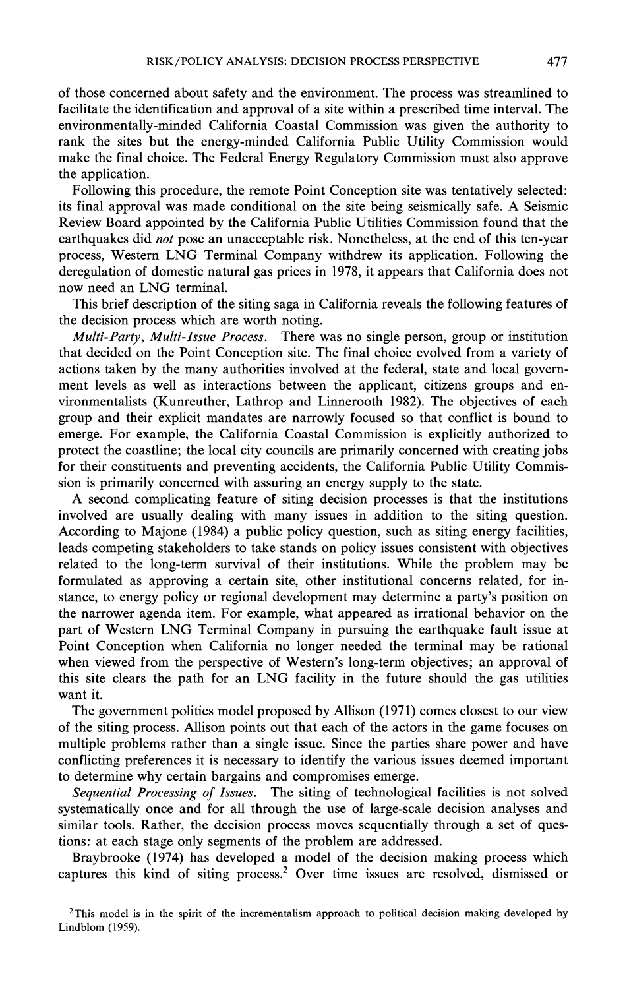**of those concerned about safety and the environment. The process was streamlined to facilitate the identification and approval of a site within a prescribed time interval. The environmentally-minded California Coastal Commission was given the authority to rank the sites but the energy-minded California Public Utility Commission would make the final choice. The Federal Energy Regulatory Commission must also approve the application.** 

**Following this procedure, the remote Point Conception site was tentatively selected: its final approval was made conditional on the site being seismically safe. A Seismic Review Board appointed by the California Public Utilities Commission found that the earthquakes did not pose an unacceptable risk. Nonetheless, at the end of this ten-year process, Western LNG Terminal Company withdrew its application. Following the deregulation of domestic natural gas prices in 1978, it appears that California does not now need an LNG terminal.** 

**This brief description of the siting saga in California reveals the following features of the decision process which are worth noting.** 

**Multi-Party, Multi-Issue Process. There was no single person, group or institution that decided on the Point Conception site. The final choice evolved from a variety of actions taken by the many authorities involved at the federal, state and local government levels as well as interactions between the applicant, citizens groups and environmentalists (Kunreuther, Lathrop and Linnerooth 1982). The objectives of each group and their explicit mandates are narrowly focused so that conflict is bound to emerge. For example, the California Coastal Commission is explicitly authorized to protect the coastline; the local city councils are primarily concerned with creating jobs for their constituents and preventing accidents, the California Public Utility Commission is primarily concerned with assuring an energy supply to the state.** 

**A second complicating feature of siting decision processes is that the institutions involved are usually dealing with many issues in addition to the siting question. According to Majone (1984) a public policy question, such as siting energy facilities, leads competing stakeholders to take stands on policy issues consistent with objectives related to the long-term survival of their institutions. While the problem may be formulated as approving a certain site, other institutional concerns related, for instance, to energy policy or regional development may determine a party's position on the narrower agenda item. For example, what appeared as irrational behavior on the part of Western LNG Terminal Company in pursuing the earthquake fault issue at Point Conception when California no longer needed the terminal may be rational when viewed from the perspective of Western's long-term objectives; an approval of this site clears the path for an LNG facility in the future should the gas utilities want it.** 

**The government politics model proposed by Allison (1971) comes closest to our view of the siting process. Allison points out that each of the actors in the game focuses on multiple problems rather than a single issue. Since the parties share power and have conflicting preferences it is necessary to identify the various issues deemed important to determine why certain bargains and compromises emerge.** 

**Sequential Processing of Issues. The siting of technological facilities is not solved systematically once and for all through the use of large-scale decision analyses and similar tools. Rather, the decision process moves sequentially through a set of questions: at each stage only segments of the problem are addressed.** 

**Braybrooke (1974) has developed a model of the decision making process which captures this kind of siting process.2 Over time issues are resolved, dismissed or** 

**<sup>2</sup>This model is in the spirit of the incrementalism approach to political decision making developed by Lindblom (1959).**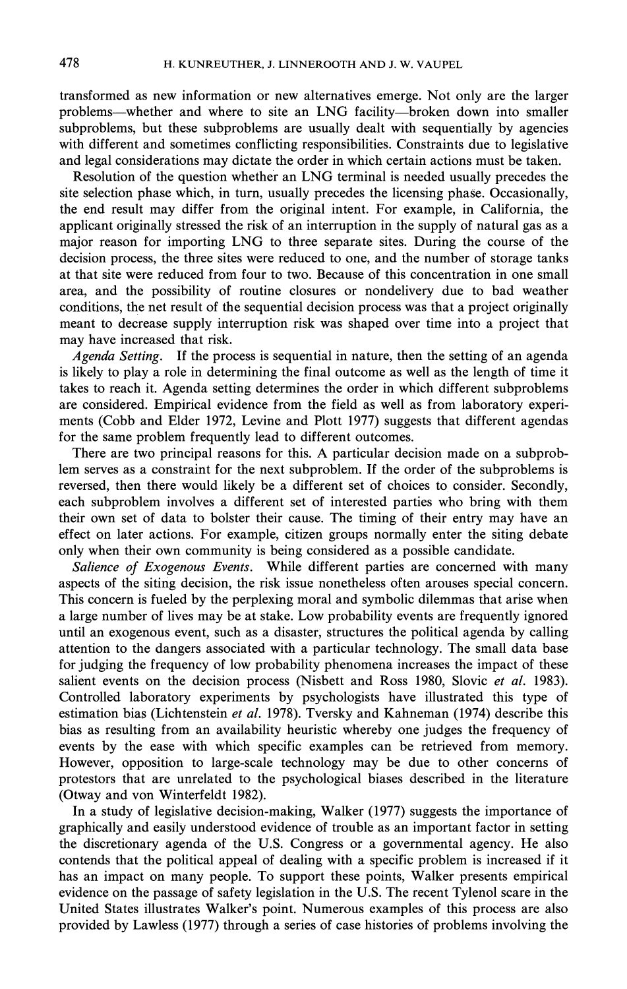**transformed as new information or new alternatives emerge. Not only are the larger problems-whether and where to site an LNG facility-broken down into smaller subproblems, but these subproblems are usually dealt with sequentially by agencies with different and sometimes conflicting responsibilities. Constraints due to legislative and legal considerations may dictate the order in which certain actions must be taken.** 

**Resolution of the question whether an LNG terminal is needed usually precedes the site selection phase which, in turn, usually precedes the licensing phase. Occasionally, the end result may differ from the original intent. For example, in California, the applicant originally stressed the risk of an interruption in the supply of natural gas as a major reason for importing LNG to three separate sites. During the course of the decision process, the three sites were reduced to one, and the number of storage tanks at that site were reduced from four to two. Because of this concentration in one small area, and the possibility of routine closures or nondelivery due to bad weather conditions, the net result of the sequential decision process was that a project originally meant to decrease supply interruption risk was shaped over time into a project that may have increased that risk.** 

**Agenda Setting. If the process is sequential in nature, then the setting of an agenda**  is likely to play a role in determining the final outcome as well as the length of time it **takes to reach it. Agenda setting determines the order in which different subproblems are considered. Empirical evidence from the field as well as from laboratory experiments (Cobb and Elder 1972, Levine and Plott 1977) suggests that different agendas for the same problem frequently lead to different outcomes.** 

**There are two principal reasons for this. A particular decision made on a subproblem serves as a constraint for the next subproblem. If the order of the subproblems is reversed, then there would likely be a different set of choices to consider. Secondly, each subproblem involves a different set of interested parties who bring with them their own set of data to bolster their cause. The timing of their entry may have an effect on later actions. For example, citizen groups normally enter the siting debate only when their own community is being considered as a possible candidate.** 

**Salience of Exogenous Events. While different parties are concerned with many aspects of the siting decision, the risk issue nonetheless often arouses special concern. This concern is fueled by the perplexing moral and symbolic dilemmas that arise when a large number of lives may be at stake. Low probability events are frequently ignored until an exogenous event, such as a disaster, structures the political agenda by calling attention to the dangers associated with a particular technology. The small data base for judging the frequency of low probability phenomena increases the impact of these salient events on the decision process (Nisbett and Ross 1980, Slovic et al. 1983). Controlled laboratory experiments by psychologists have illustrated this type of estimation bias (Lichtenstein et al. 1978). Tversky and Kahneman (1974) describe this bias as resulting from an availability heuristic whereby one judges the frequency of events by the ease with which specific examples can be retrieved from memory. However, opposition to large-scale technology may be due to other concerns of protestors that are unrelated to the psychological biases described in the literature (Otway and von Winterfeldt 1982).** 

**In a study of legislative decision-making, Walker (1977) suggests the importance of graphically and easily understood evidence of trouble as an important factor in setting the discretionary agenda of the U.S. Congress or a governmental agency. He also contends that the political appeal of dealing with a specific problem is increased if it has an impact on many people. To support these points, Walker presents empirical evidence on the passage of safety legislation in the U.S. The recent Tylenol scare in the United States illustrates Walker's point. Numerous examples of this process are also provided by Lawless (1977) through a series of case histories of problems involving the**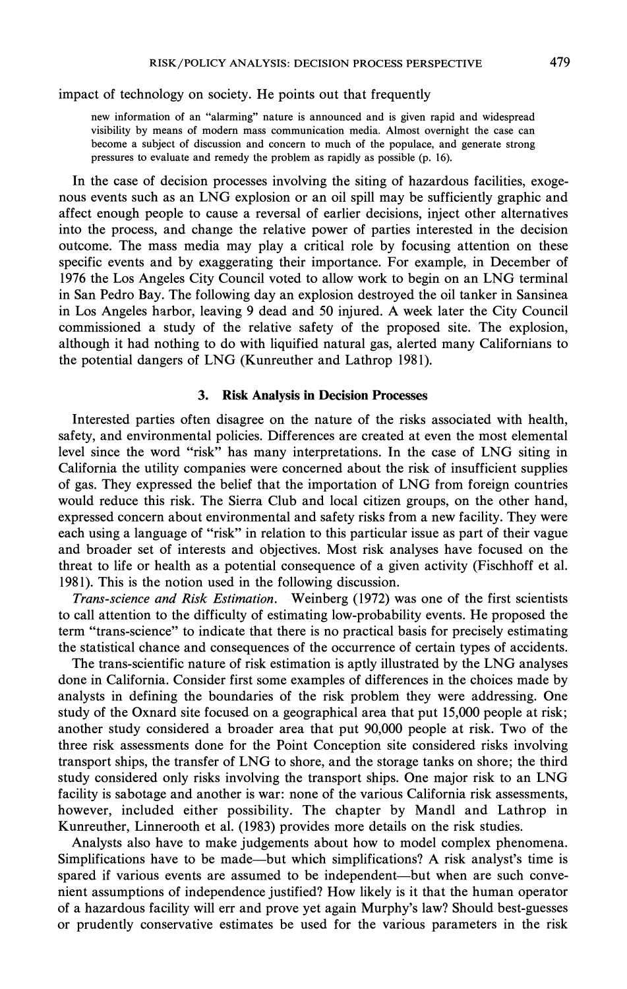### **impact of technology on society. He points out that frequently**

**new information of an "alarming" nature is announced and is given rapid and widespread visibility by means of modern mass communication media. Almost overnight the case can become a subject of discussion and concern to much of the populace, and generate strong pressures to evaluate and remedy the problem as rapidly as possible (p. 16).** 

**In the case of decision processes involving the siting of hazardous facilities, exogenous events such as an LNG explosion or an oil spill may be sufficiently graphic and affect enough people to cause a reversal of earlier decisions, inject other alternatives into the process, and change the relative power of parties interested in the decision outcome. The mass media may play a critical role by focusing attention on these specific events and by exaggerating their importance. For example, in December of 1976 the Los Angeles City Council voted to allow work to begin on an LNG terminal in San Pedro Bay. The following day an explosion destroyed the oil tanker in Sansinea in Los Angeles harbor, leaving 9 dead and 50 injured. A week later the City Council commissioned a study of the relative safety of the proposed site. The explosion, although it had nothing to do with liquified natural gas, alerted many Californians to the potential dangers of LNG (Kunreuther and Lathrop 1981).** 

# **3. Risk Analysis in Decision Processes**

**Interested parties often disagree on the nature of the risks associated with health, safety, and environmental policies. Differences are created at even the most elemental level since the word "risk" has many interpretations. In the case of LNG siting in California the utility companies were concerned about the risk of insufficient supplies of gas. They expressed the belief that the importation of LNG from foreign countries would reduce this risk. The Sierra Club and local citizen groups, on the other hand, expressed concern about environmental and safety risks from a new facility. They were each using a language of "risk" in relation to this particular issue as part of their vague and broader set of interests and objectives. Most risk analyses have focused on the threat to life or health as a potential consequence of a given activity (Fischhoff et al. 1981). This is the notion used in the following discussion.** 

**Trans-science and Risk Estimation. Weinberg (1972) was one of the first scientists to call attention to the difficulty of estimating low-probability events. He proposed the term "trans-science" to indicate that there is no practical basis for precisely estimating the statistical chance and consequences of the occurrence of certain types of accidents.** 

**The trans-scientific nature of risk estimation is aptly illustrated by the LNG analyses done in California. Consider first some examples of differences in the choices made by analysts in defining the boundaries of the risk problem they were addressing. One study of the Oxnard site focused on a geographical area that put 15,000 people at risk; another study considered a broader area that put 90,000 people at risk. Two of the three risk assessments done for the Point Conception site considered risks involving transport ships, the transfer of LNG to shore, and the storage tanks on shore; the third study considered only risks involving the transport ships. One major risk to an LNG facility is sabotage and another is war: none of the various California risk assessments, however, included either possibility. The chapter by Mandl and Lathrop in Kunreuther, Linnerooth et al. (1983) provides more details on the risk studies.** 

**Analysts also have to make judgements about how to model complex phenomena. Simplifications have to be made-but which simplifications? A risk analyst's time is**  spared if various events are assumed to be independent—but when are such conve**nient assumptions of independence justified? How likely is it that the human operator of a hazardous facility will err and prove yet again Murphy's law? Should best-guesses or prudently conservative estimates be used for the various parameters in the risk**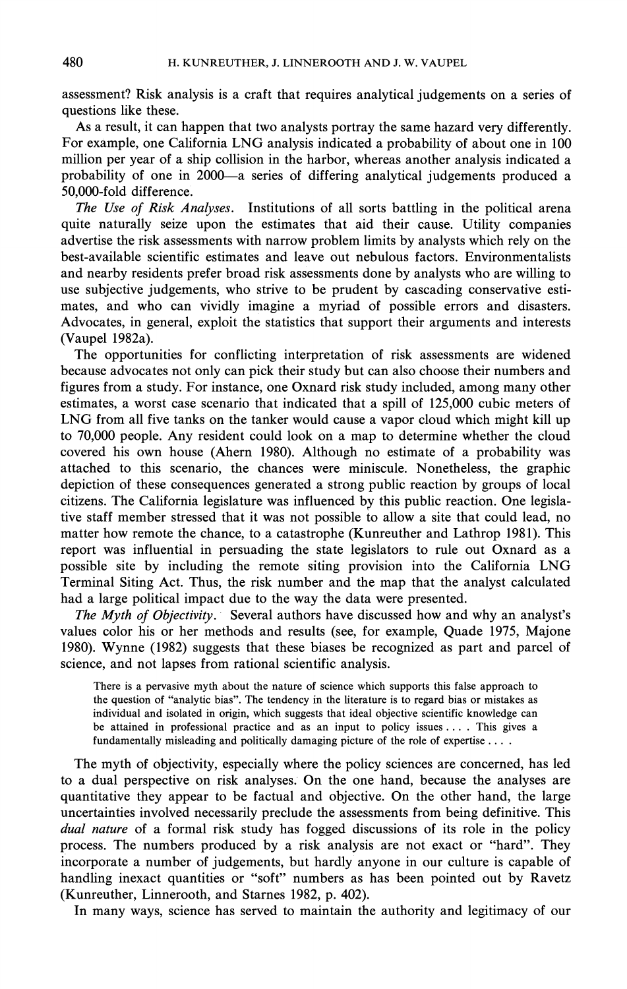**assessment? Risk analysis is a craft that requires analytical judgements on a series of questions like these.** 

**As a result, it can happen that two analysts portray the same hazard very differently. For example, one California LNG analysis indicated a probability of about one in 100 million per year of a ship collision in the harbor, whereas another analysis indicated a probability of one in 2000-a series of differing analytical judgements produced a 50,000-fold difference.** 

**The Use of Risk Analyses. Institutions of all sorts battling in the political arena quite naturally seize upon the estimates that aid their cause. Utility companies advertise the risk assessments with narrow problem limits by analysts which rely on the best-available scientific estimates and leave out nebulous factors. Environmentalists and nearby residents prefer broad risk assessments done by analysts who are willing to use subjective judgements, who strive to be prudent by cascading conservative estimates, and who can vividly imagine a myriad of possible errors and disasters. Advocates, in general, exploit the statistics that support their arguments and interests (Vaupel 1982a).** 

**The opportunities for conflicting interpretation of risk assessments are widened because advocates not only can pick their study but can also choose their numbers and figures from a study. For instance, one Oxnard risk study included, among many other estimates, a worst case scenario that indicated that a spill of 125,000 cubic meters of LNG from all five tanks on the tanker would cause a vapor cloud which might kill up to 70,000 people. Any resident could look on a map to determine whether the cloud covered his own house (Ahern 1980). Although no estimate of a probability was attached to this scenario, the chances were miniscule. Nonetheless, the graphic depiction of these consequences generated a strong public reaction by groups of local citizens. The California legislature was influenced by this public reaction. One legislative staff member stressed that it was not possible to allow a site that could lead, no matter how remote the chance, to a catastrophe (Kunreuther and Lathrop 1981). This report was influential in persuading the state legislators to rule out Oxnard as a possible site by including the remote siting provision into the California LNG Terminal Siting Act. Thus, the risk number and the map that the analyst calculated had a large political impact due to the way the data were presented.** 

The Myth of Objectivity. Several authors have discussed how and why an analyst's **values color his or her methods and results (see, for example, Quade 1975, Majone 1980). Wynne (1982) suggests that these biases be recognized as part and parcel of science, and not lapses from rational scientific analysis.** 

**There is a pervasive myth about the nature of science which supports this false approach to the question of "analytic bias". The tendency in the literature is to regard bias or mistakes as individual and isolated in origin, which suggests that ideal objective scientific knowledge can be attained in professional practice and as an input to policy issues... . This gives a fundamentally misleading and politically damaging picture of the role of expertise ...** 

**The myth of objectivity, especially where the policy sciences are concerned, has led to a dual perspective on risk analyses. On the one hand, because the analyses are quantitative they appear to be factual and objective. On the other hand, the large uncertainties involved necessarily preclude the assessments from being definitive. This dual nature of a formal risk study has fogged discussions of its role in the policy process. The numbers produced by a risk analysis are not exact or "hard". They incorporate a number of judgements, but hardly anyone in our culture is capable of handling inexact quantities or "soft" numbers as has been pointed out by Ravetz (Kunreuther, Linnerooth, and Starnes 1982, p. 402).** 

**In many ways, science has served to maintain the authority and legitimacy of our**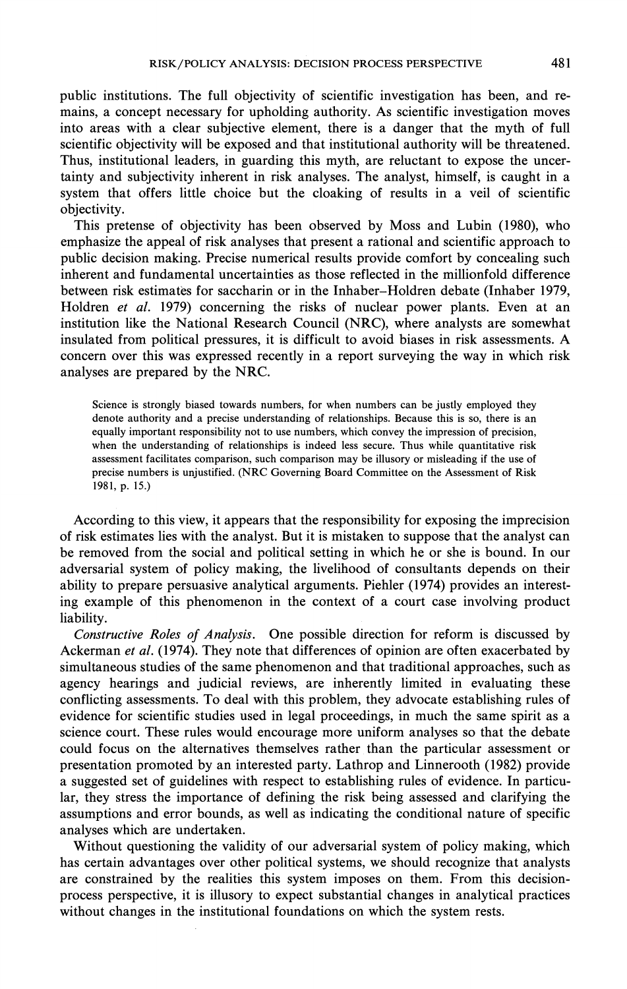**public institutions. The full objectivity of scientific investigation has been, and remains, a concept necessary for upholding authority. As scientific investigation moves into areas with a clear subjective element, there is a danger that the myth of full scientific objectivity will be exposed and that institutional authority will be threatened. Thus, institutional leaders, in guarding this myth, are reluctant to expose the uncertainty and subjectivity inherent in risk analyses. The analyst, himself, is caught in a system that offers little choice but the cloaking of results in a veil of scientific objectivity.** 

**This pretense of objectivity has been observed by Moss and Lubin (1980), who emphasize the appeal of risk analyses that present a rational and scientific approach to public decision making. Precise numerical results provide comfort by concealing such inherent and fundamental uncertainties as those reflected in the millionfold difference between risk estimates for saccharin or in the Inhaber-Holdren debate (Inhaber 1979, Holdren et al. 1979) concerning the risks of nuclear power plants. Even at an institution like the National Research Council (NRC), where analysts are somewhat insulated from political pressures, it is difficult to avoid biases in risk assessments. A concern over this was expressed recently in a report surveying the way in which risk analyses are prepared by the NRC.** 

**Science is strongly biased towards numbers, for when numbers can be justly employed they denote authority and a precise understanding of relationships. Because this is so, there is an equally important responsibility not to use numbers, which convey the impression of precision, when the understanding of relationships is indeed less secure. Thus while quantitative risk assessment facilitates comparison, such comparison may be illusory or misleading if the use of precise numbers is unjustified. (NRC Governing Board Committee on the Assessment of Risk 1981, p. 15.)** 

**According to this view, it appears that the responsibility for exposing the imprecision of risk estimates lies with the analyst. But it is mistaken to suppose that the analyst can be removed from the social and political setting in which he or she is bound. In our adversarial system of policy making, the livelihood of consultants depends on their ability to prepare persuasive analytical arguments. Piehler (1974) provides an interesting example of this phenomenon in the context of a court case involving product liability.** 

**Constructive Roles of Analysis. One possible direction for reform is discussed by Ackerman et al. (1974). They note that differences of opinion are often exacerbated by simultaneous studies of the same phenomenon and that traditional approaches, such as agency hearings and judicial reviews, are inherently limited in evaluating these conflicting assessments. To deal with this problem, they advocate establishing rules of evidence for scientific studies used in legal proceedings, in much the same spirit as a science court. These rules would encourage more uniform analyses so that the debate could focus on the alternatives themselves rather than the particular assessment or presentation promoted by an interested party. Lathrop and Linnerooth (1982) provide a suggested set of guidelines with respect to establishing rules of evidence. In particular, they stress the importance of defining the risk being assessed and clarifying the assumptions and error bounds, as well as indicating the conditional nature of specific analyses which are undertaken.** 

**Without questioning the validity of our adversarial system of policy making, which has certain advantages over other political systems, we should recognize that analysts are constrained by the realities this system imposes on them. From this decisionprocess perspective, it is illusory to expect substantial changes in analytical practices without changes in the institutional foundations on which the system rests.**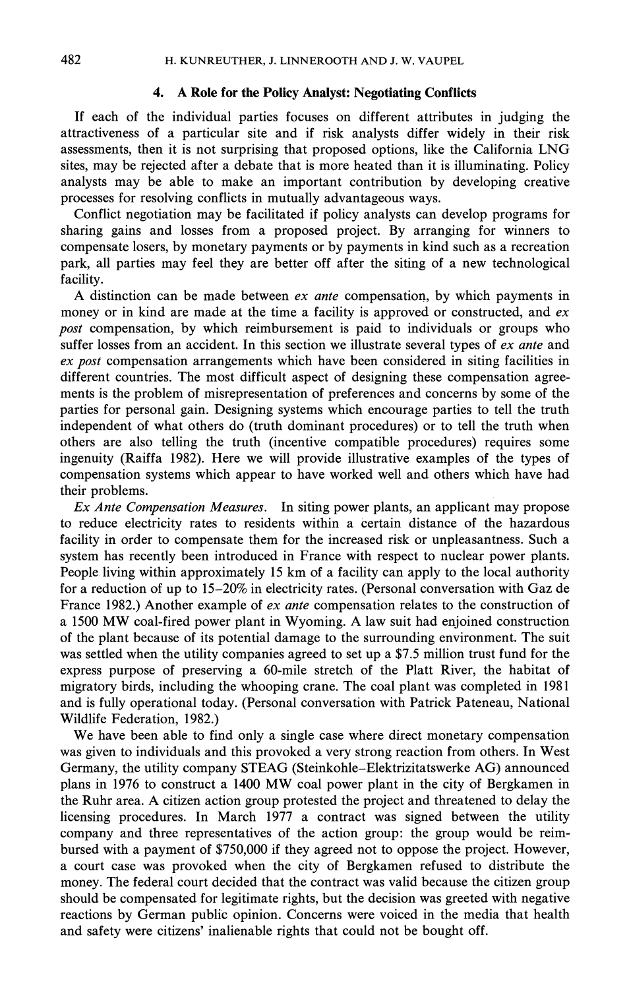# **4. A Role for the Policy Analyst: Negotiating Conflicts**

**If each of the individual parties focuses on different attributes in judging the attractiveness of a particular site and if risk analysts differ widely in their risk assessments, then it is not surprising that proposed options, like the California LNG sites, may be rejected after a debate that is more heated than it is illuminating. Policy analysts may be able to make an important contribution by developing creative processes for resolving conflicts in mutually advantageous ways.** 

**Conflict negotiation may be facilitated if policy analysts can develop programs for sharing gains and losses from a proposed project. By arranging for winners to compensate losers, by monetary payments or by payments in kind such as a recreation park, all parties may feel they are better off after the siting of a new technological facility.** 

**A distinction can be made between ex ante compensation, by which payments in money or in kind are made at the time a facility is approved or constructed, and ex post compensation, by which reimbursement is paid to individuals or groups who suffer losses from an accident. In this section we illustrate several types of ex ante and ex post compensation arrangements which have been considered in siting facilities in different countries. The most difficult aspect of designing these compensation agreements is the problem of misrepresentation of preferences and concerns by some of the parties for personal gain. Designing systems which encourage parties to tell the truth independent of what others do (truth dominant procedures) or to tell the truth when others are also telling the truth (incentive compatible procedures) requires some ingenuity (Raiffa 1982). Here we will provide illustrative examples of the types of compensation systems which appear to have worked well and others which have had their problems.** 

**Ex Ante Compensation Measures. In siting power plants, an applicant may propose to reduce electricity rates to residents within a certain distance of the hazardous facility in order to compensate them for the increased risk or unpleasantness. Such a system has recently been introduced in France with respect to nuclear power plants. People living within approximately 15 km of a facility can apply to the local authority for a reduction of up to 15-20% in electricity rates. (Personal conversation with Gaz de France 1982.) Another example of ex ante compensation relates to the construction of a 1500 MW coal-fired power plant in Wyoming. A law suit had enjoined construction of the plant because of its potential damage to the surrounding environment. The suit was settled when the utility companies agreed to set up a \$7.5 million trust fund for the express purpose of preserving a 60-mile stretch of the Platt River, the habitat of migratory birds, including the whooping crane. The coal plant was completed in 1981 and is fully operational today. (Personal conversation with Patrick Pateneau, National Wildlife Federation, 1982.)** 

**We have been able to find only a single case where direct monetary compensation was given to individuals and this provoked a very strong reaction from others. In West Germany, the utility company STEAG (Steinkohle-Elektrizitatswerke AG) announced plans in 1976 to construct a 1400 MW coal power plant in the city of Bergkamen in the Ruhr area. A citizen action group protested the project and threatened to delay the licensing procedures. In March 1977 a contract was signed between the utility company and three representatives of the action group: the group would be reimbursed with a payment of \$750,000 if they agreed not to oppose the project. However, a court case was provoked when the city of Bergkamen refused to distribute the money. The federal court decided that the contract was valid because the citizen group should be compensated for legitimate rights, but the decision was greeted with negative reactions by German public opinion. Concerns were voiced in the media that health and safety were citizens' inalienable rights that could not be bought off.**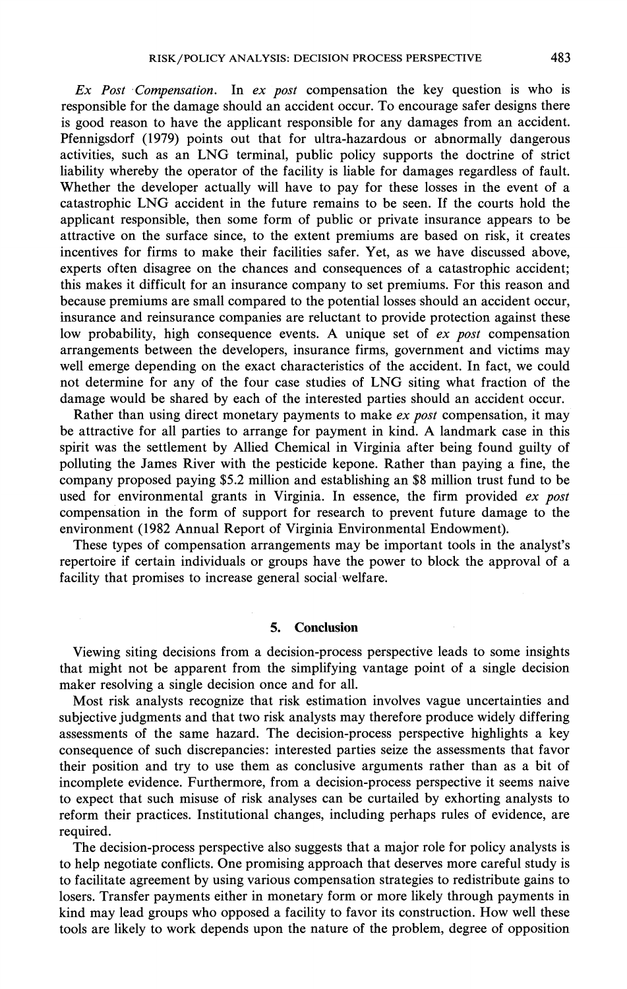**Ex Post Compensation. In ex post compensation the key question is who is responsible for the damage should an accident occur. To encourage safer designs there is good reason to have the applicant responsible for any damages from an accident. Pfennigsdorf (1979) points out that for ultra-hazardous or abnormally dangerous activities, such as an LNG terminal, public policy supports the doctrine of strict liability whereby the operator of the facility is liable for damages regardless of fault. Whether the developer actually will have to pay for these losses in the event of a catastrophic LNG accident in the future remains to be seen. If the courts hold the applicant responsible, then some form of public or private insurance appears to be attractive on the surface since, to the extent premiums are based on risk, it creates incentives for firms to make their facilities safer. Yet, as we have discussed above, experts often disagree on the chances and consequences of a catastrophic accident; this makes it difficult for an insurance company to set premiums. For this reason and**  because premiums are small compared to the potential losses should an accident occur, **insurance and reinsurance companies are reluctant to provide protection against these low probability, high consequence events. A unique set of ex post compensation arrangements between the developers, insurance firms, government and victims may well emerge depending on the exact characteristics of the accident. In fact, we could not determine for any of the four case studies of LNG siting what fraction of the damage would be shared by each of the interested parties should an accident occur.** 

**Rather than using direct monetary payments to make ex post compensation, it may be attractive for all parties to arrange for payment in kind. A landmark case in this spirit was the settlement by Allied Chemical in Virginia after being found guilty of polluting the James River with the pesticide kepone. Rather than paying a fine, the company proposed paying \$5.2 million and establishing an \$8 million trust fund to be**  used for environmental grants in Virginia. In essence, the firm provided *ex post* **compensation in the form of support for research to prevent future damage to the environment (1982 Annual Report of Virginia Environmental Endowment).** 

**These types of compensation arrangements may be important tools in the analyst's repertoire if certain individuals or groups have the power to block the approval of a facility that promises to increase general social welfare.** 

#### **5. Conclusion**

**Viewing siting decisions from a decision-process perspective leads to some insights that might not be apparent from the simplifying vantage point of a single decision maker resolving a single decision once and for all.** 

**Most risk analysts recognize that risk estimation involves vague uncertainties and subjective judgments and that two risk analysts may therefore produce widely differing assessments of the same hazard. The decision-process perspective highlights a key consequence of such discrepancies: interested parties seize the assessments that favor their position and try to use them as conclusive arguments rather than as a bit of incomplete evidence. Furthermore, from a decision-process perspective it seems naive to expect that such misuse of risk analyses can be curtailed by exhorting analysts to reform their practices. Institutional changes, including perhaps rules of evidence, are required.** 

**The decision-process perspective also suggests that a major role for policy analysts is to help negotiate conflicts. One promising approach that deserves more careful study is to facilitate agreement by using various compensation strategies to redistribute gains to losers. Transfer payments either in monetary form or more likely through payments in kind may lead groups who opposed a facility to favor its construction. How well these tools are likely to work depends upon the nature of the problem, degree of opposition**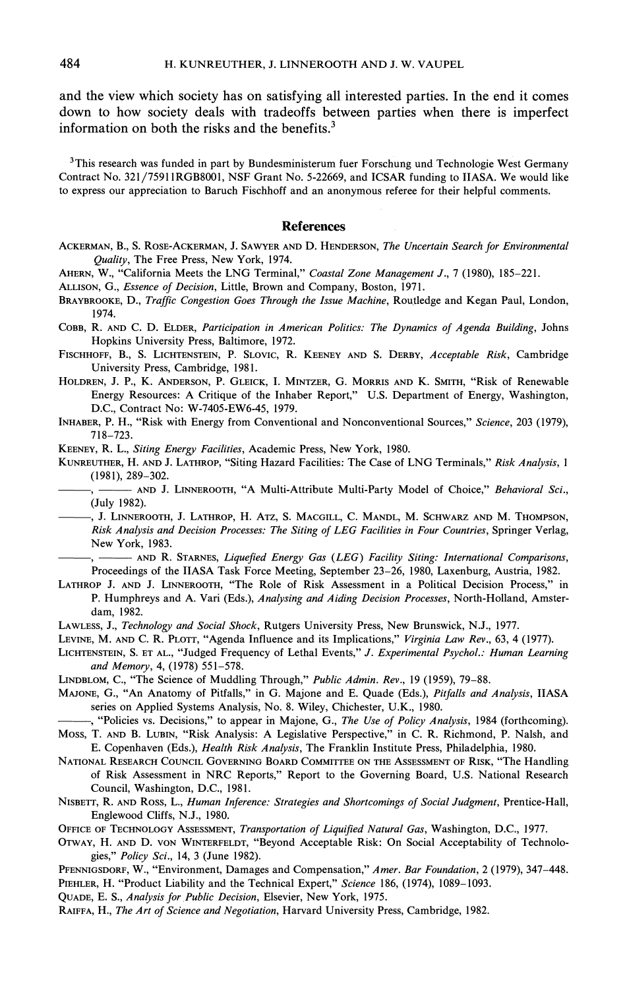**and the view which society has on satisfying all interested parties. In the end it comes down to how society deals with tradeoffs between parties when there is imperfect information on both the risks and the benefits.3** 

**3This research was funded in part by Bundesministerum fuer Forschung und Technologie West Germany Contract No. 321/7591 lRGB8001, NSF Grant No. 5-22669, and ICSAR funding to IIASA. We would like to express our appreciation to Baruch Fischhoff and an anonymous referee for their helpful comments.** 

#### **References**

**ACKERMAN, B., S. RoSE-ACKERMAN, J. SAWYER AND D. HENDERSON, The Uncertain Search for Environmental Quality, The Free Press, New York, 1974.** 

**AHERN, W., "California Meets the LNG Terminal," Coastal Zone Management J., 7 (1980), 185-221.** 

**ALLISON, G., Essence of Decision, Little, Brown and Company, Boston, 1971.** 

BRAYBROOKE, D., Traffic Congestion Goes Through the Issue Machine, Routledge and Kegan Paul, London, **1974.** 

**COBB, R. AND C. D. ELDER, Participation in American Politics: The Dynamics of Agenda Building, Johns Hopkins University Press, Baltimore, 1972.** 

**FISCHHOFF, B., S. LICHTENSTEIN, P. SLOVIC, R. KEENEY AND S. DERBY, Acceptable Risk, Cambridge University Press, Cambridge, 1981.** 

- **HOLDREN, J. P., K. ANDERSON, P. GLEICK, I. MINTZER, G. MORRIS AND K. SMITH, "Risk of Renewable Energy Resources: A Critique of the Inhaber Report," U.S. Department of Energy, Washington, D.C., Contract No: W-7405-EW6-45, 1979.**
- **INHABER, P. H., "Risk with Energy from Conventional and Nonconventional Sources," Science, 203 (1979), 718-723.**

**KEENEY, R. L., Siting Energy Facilities, Academic Press, New York, 1980.** 

**KUNREUTHER, H. AND J. LATHROP, "Siting Hazard Facilities: The Case of LNG Terminals," Risk Analysis, I (1981), 289-302.** 

**AND J. LINNEROOTH, "A Multi-Attribute Multi-Party Model of Choice," Behavioral Sci., (July 1982).** 

**, J. LINNEROOTH, J. LATHROP, H. ATZ, S. MACGILL, C. MANDL, M. SCHWARZ AND M. THOMPSON, Risk Analysis and Decision Processes: The Siting of LEG Facilities in Four Countries, Springer Verlag, New York, 1983.** 

**AND R. STARNES, Liquefied Energy Gas (LEG) Facility Siting: International Comparisons, Proceedings of the IIASA Task Force Meeting, September 23-26, 1980, Laxenburg, Austria, 1982.** 

- **LATHROP J. AND J. LINNEROOTH, "The Role of Risk Assessment in a Political Decision Process," in P. Humphreys and A. Vari (Eds.), Analysing and Aiding Decision Processes, North-Holland, Amsterdam, 1982.**
- LAWLESS, J., Technology and Social Shock, Rutgers University Press, New Brunswick, N.J., 1977.
- LEVINE, M. AND C. R. PLOTT, "Agenda Influence and its Implications," Virginia Law Rev., 63, 4 (1977).
- LICHTENSTEIN, S. ET AL., "Judged Frequency of Lethal Events," J. Experimental Psychol.: Human Learning **and Memory, 4, (1978) 551-578.**
- **LINDBLOM, C., "The Science of Muddling Through," Public Admin. Rev., 19 (1959), 79-88.**
- **MAJONE, G., "An Anatomy of Pitfalls," in G. Majone and E. Quade (Eds.), Pitfalls and Analysis, IIASA series on Applied Systems Analysis, No. 8. Wiley, Chichester, U.K., 1980.**
- **,"Policies vs. Decisions," to appear in Majone, G., The Use of Policy Analysis, 1984 (forthcoming). Moss, T. AND B. LUBIN, "Risk Analysis: A Legislative Perspective," in C. R. Richmond, P. Nalsh, and**

**E. Copenhaven (Eds.), Health Risk Analysis, The Franklin Institute Press, Philadelphia, 1980.** 

- **NATIONAL RESEARCH COUNCIL GOVERNING BOARD COMMITTEE ON THE ASSESSMENT OF RISK, "The Handling of Risk Assessment in NRC Reports," Report to the Governing Board, U.S. National Research Council, Washington, D.C., 1981.**
- **NISBETT, R. AND Ross, L., Human Inference: Strategies and Shortcomings of Social Judgment, Prentice-Hall, Englewood Cliffs, N.J., 1980.**
- **OFFICE OF TECHNOLOGY ASSESSMENT, Transportation of Liquified Natural Gas, Washington, D.C., 1977.**

- **PFENNIGSDORF, W."Environment, Damages and Compensation," Amer. Bar Foundation, 2 (1979), 347-448. PIEHLER, H. "Product Liability and the Technical Expert," Science 186, (1974), 1089-1093.**
- **QUADE, E. S., Analysis for Public Decision, Elsevier, New York, 1975.**
- **RAIFFA, H., The Art of Science and Negotiation, Harvard University Press, Cambridge, 1982.**

**OTWAY, H. AND D. VON WINTERFELDT, "Beyond Acceptable Risk: On Social Acceptability of Technologies," Policy Sci., 14, 3 (June 1982).**